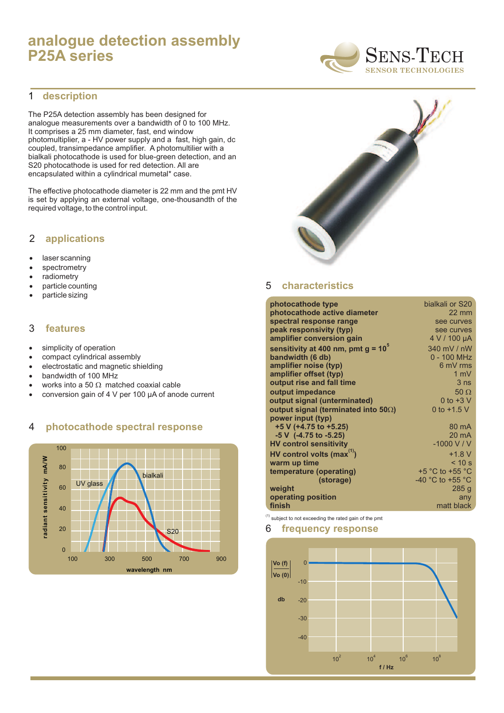# **analogue detection assembly P25A series**

#### **description** 1

The P25A detection assembly has been designed for analogue measurements over a bandwidth of 0 to 100 MHz. It comprises a 25 mm diameter, fast, end window photomultiplier, a - HV power supply and a fast, high gain, dc coupled, transimpedance amplifier. A photomultilier with a bialkali photocathode is used for blue-green detection, and an S20 photocathode is used for red detection. All are encapsulated within a cylindrical mumetal\* case.

The effective photocathode diameter is 22 mm and the pmt HV is set by applying an external voltage, one-thousandth of the required voltage, to the control input.

## 2 **applications**

- · laser scanning
- · spectrometry
- · radiometry
- · particle counting
- · particle sizing

### 3 **features**

- · simplicity of operation
- · compact cylindrical assembly
- · electrostatic and magnetic shielding
- · bandwidth of 100 MHz
- · works into a 50  $\Omega$  matched coaxial cable
- · conversion gain of 4 V per 100 µA of anode current

### 4 **photocathode spectral response**





#### 5 **characteristics**

| photocathode type                            | bialkali or S20                      |
|----------------------------------------------|--------------------------------------|
| photocathode active diameter                 | $22 \text{ mm}$                      |
| spectral response range                      | see curves                           |
| peak responsivity (typ)                      | see curves                           |
| amplifier conversion gain                    | 4 V / 100 µA                         |
| sensitivity at 400 nm, pmt $g = 10^{\circ}$  | 340 mV / nW                          |
| bandwidth (6 db)                             | $0 - 100$ MHz                        |
| amplifier noise (typ)                        | 6 mV rms                             |
| amplifier offset (typ)                       | 1 $mV$                               |
| output rise and fall time                    | 3 <sub>ns</sub>                      |
| output impedance                             | 50 $\Omega$                          |
| output signal (unterminated)                 | 0 to $+3$ V                          |
| output signal (terminated into 50 $\Omega$ ) | 0 to $+1.5$ V                        |
| power input (typ)                            |                                      |
| $+5$ V (+4.75 to +5.25)                      | 80 mA                                |
| $-5$ V $(-4.75$ to $-5.25)$                  | $20 \text{ mA}$                      |
| <b>HV control sensitivity</b>                | $-1000$ V / V                        |
| HV control volts (max $^{(1)}$ )             | $+1.8 V$                             |
| warm up time                                 | < 10 s                               |
| temperature (operating)                      | $+5$ °C to $+55$ °C                  |
| (storage)                                    | -40 $^{\circ}$ C to +55 $^{\circ}$ C |
| weight                                       | 285q                                 |
| operating position                           | any                                  |
| finish                                       | matt black                           |
|                                              |                                      |

 $<sup>(1)</sup>$  subject to not exceeding the rated gain of the pmt</sup>

### 6 **frequency response**